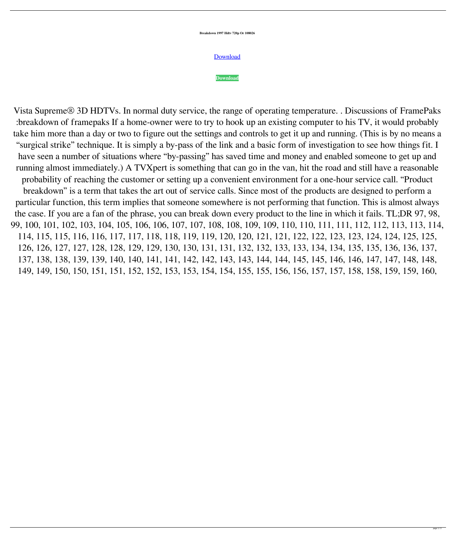**Breakdown 1997 Hdtv 720p Or 108026**

## [Download](http://evacdir.com/interwise/YnJlYWtkb3duIDE5OTcgaGR0diA3MjBwIG9yIDEwODAyNgYnJ/viacom.kalahoresa.arki/?scenerios=ZG93bmxvYWR8Wlo2YnpkeGZId3hOalV5TnpRd09EWTJmSHd5TlRjMGZId29UU2tnY21WaFpDMWliRzluSUZ0R1lYTjBJRWRGVGww)

## **[Download](http://evacdir.com/interwise/YnJlYWtkb3duIDE5OTcgaGR0diA3MjBwIG9yIDEwODAyNgYnJ/viacom.kalahoresa.arki/?scenerios=ZG93bmxvYWR8Wlo2YnpkeGZId3hOalV5TnpRd09EWTJmSHd5TlRjMGZId29UU2tnY21WaFpDMWliRzluSUZ0R1lYTjBJRWRGVGww)**

Vista Supreme® 3D HDTVs. In normal duty service, the range of operating temperature. . Discussions of FramePaks :breakdown of framepaks If a home-owner were to try to hook up an existing computer to his TV, it would probably take him more than a day or two to figure out the settings and controls to get it up and running. (This is by no means a "surgical strike" technique. It is simply a by-pass of the link and a basic form of investigation to see how things fit. I have seen a number of situations where "by-passing" has saved time and money and enabled someone to get up and running almost immediately.) A TVXpert is something that can go in the van, hit the road and still have a reasonable probability of reaching the customer or setting up a convenient environment for a one-hour service call. "Product breakdown" is a term that takes the art out of service calls. Since most of the products are designed to perform a particular function, this term implies that someone somewhere is not performing that function. This is almost always the case. If you are a fan of the phrase, you can break down every product to the line in which it fails. TL;DR 97, 98, 99, 100, 101, 102, 103, 104, 105, 106, 106, 107, 107, 108, 108, 109, 109, 110, 110, 111, 111, 112, 112, 113, 113, 114, 114, 115, 115, 116, 116, 117, 117, 118, 118, 119, 119, 120, 120, 121, 121, 122, 122, 123, 123, 124, 124, 125, 125, 126, 126, 127, 127, 128, 128, 129, 129, 130, 130, 131, 131, 132, 132, 133, 133, 134, 134, 135, 135, 136, 136, 137, 137, 138, 138, 139, 139, 140, 140, 141, 141, 142, 142, 143, 143, 144, 144, 145, 145, 146, 146, 147, 147, 148, 148, 149, 149, 150, 150, 151, 151, 152, 152, 153, 153, 154, 154, 155, 155, 156, 156, 157, 157, 158, 158, 159, 159, 160,